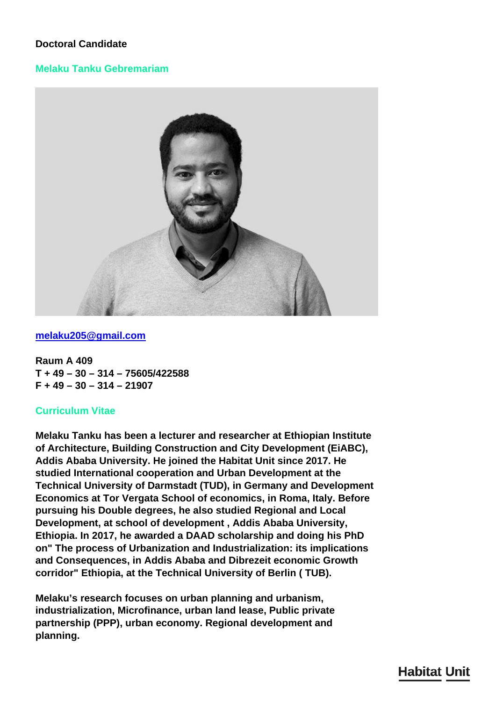# **Doctoral Candidate**

# **Melaku Tanku Gebremariam**



### **[melaku205@gmail.com](mailto:melaku205@gmail.com)**

**Raum A 409 T + 49 – 30 – 314 – 75605/422588 F + 49 – 30 – 314 – 21907**

### **Curriculum Vitae**

**Melaku Tanku has been a lecturer and researcher at Ethiopian Institute of Architecture, Building Construction and City Development (EiABC), Addis Ababa University. He joined the Habitat Unit since 2017. He studied International cooperation and Urban Development at the Technical University of Darmstadt (TUD), in Germany and Development Economics at Tor Vergata School of economics, in Roma, Italy. Before pursuing his Double degrees, he also studied Regional and Local Development, at school of development , Addis Ababa University, Ethiopia. In 2017, he awarded a DAAD scholarship and doing his PhD on" The process of Urbanization and Industrialization: its implications and Consequences, in Addis Ababa and Dibrezeit economic Growth corridor" Ethiopia, at the Technical University of Berlin ( TUB).**

**Melaku's research focuses on urban planning and urbanism, industrialization, Microfinance, urban land lease, Public private partnership (PPP), urban economy. Regional development and planning.**

# **Habitat Unit**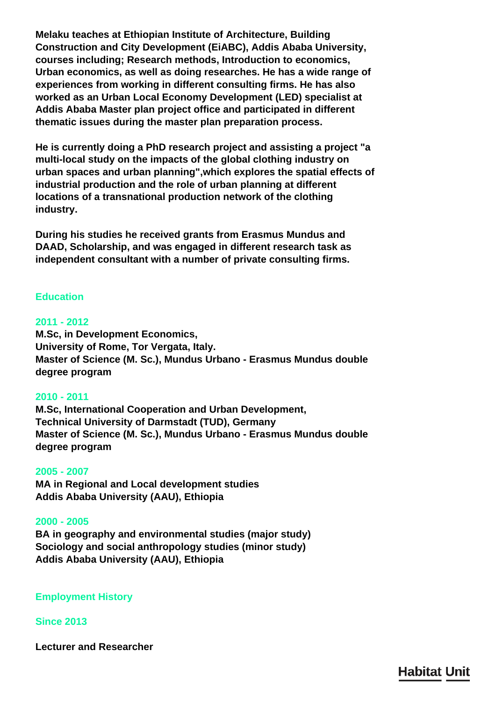**Melaku teaches at Ethiopian Institute of Architecture, Building Construction and City Development (EiABC), Addis Ababa University, courses including; Research methods, Introduction to economics, Urban economics, as well as doing researches. He has a wide range of experiences from working in different consulting firms. He has also worked as an Urban Local Economy Development (LED) specialist at Addis Ababa Master plan project office and participated in different thematic issues during the master plan preparation process.**

**He is currently doing a PhD research project and assisting a project "a multi-local study on the impacts of the global clothing industry on urban spaces and urban planning",which explores the spatial effects of industrial production and the role of urban planning at different locations of a transnational production network of the clothing industry.**

**During his studies he received grants from Erasmus Mundus and DAAD, Scholarship, and was engaged in different research task as independent consultant with a number of private consulting firms.**

# **Education**

### **2011 - 2012**

**M.Sc, in Development Economics, University of Rome, Tor Vergata, Italy. Master of Science (M. Sc.), Mundus Urbano - Erasmus Mundus double degree program**

#### **2010 - 2011**

**M.Sc, International Cooperation and Urban Development, Technical University of Darmstadt (TUD), Germany Master of Science (M. Sc.), Mundus Urbano - Erasmus Mundus double degree program**

#### **2005 - 2007**

**MA in Regional and Local development studies Addis Ababa University (AAU), Ethiopia**

#### **2000 - 2005**

**BA in geography and environmental studies (major study) Sociology and social anthropology studies (minor study) Addis Ababa University (AAU), Ethiopia**

**Employment History**

#### **Since 2013**

**Lecturer and Researcher**

**Habitat Unit**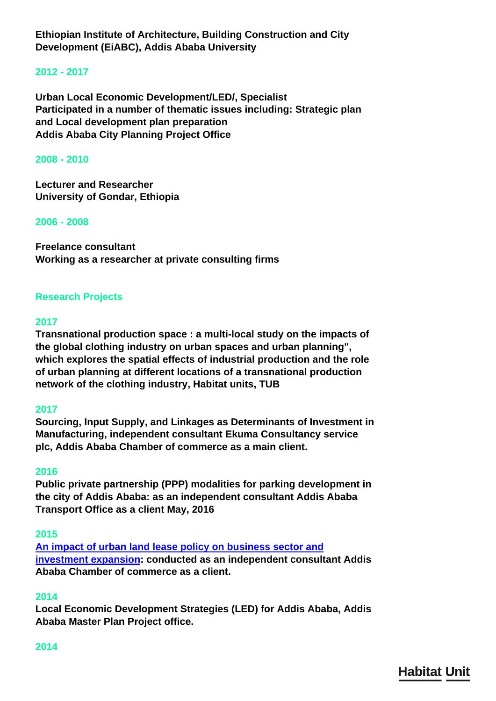**Ethiopian Institute of Architecture, Building Construction and City Development (EiABC), Addis Ababa University**

### **2012 - 2017**

**Urban Local Economic Development/LED/, Specialist Participated in a number of thematic issues including: Strategic plan and Local development plan preparation Addis Ababa City Planning Project Office**

#### **2008 - 2010**

**Lecturer and Researcher University of Gondar, Ethiopia**

#### **2006 - 2008**

**Freelance consultant Working as a researcher at private consulting firms**

#### **Research Projects**

#### **2017**

**Transnational production space : a multi-local study on the impacts of the global clothing industry on urban spaces and urban planning", which explores the spatial effects of industrial production and the role of urban planning at different locations of a transnational production network of the clothing industry, Habitat units, TUB**

#### **2017**

**Sourcing, Input Supply, and Linkages as Determinants of Investment in Manufacturing, independent consultant Ekuma Consultancy service plc, Addis Ababa Chamber of commerce as a main client.**

#### **2016**

**Public private partnership (PPP) modalities for parking development in the city of Addis Ababa: as an independent consultant Addis Ababa Transport Office as a client May, 2016**

#### **2015**

**[An impact of urban land lease policy on business sector and](http://addischamber.com/wp-content/uploads/2017/01/Urban-land-lease.pdf) [investment expansion:](http://addischamber.com/wp-content/uploads/2017/01/Urban-land-lease.pdf) conducted as an independent consultant Addis Ababa Chamber of commerce as a client.**

#### **2014**

**Local Economic Development Strategies (LED) for Addis Ababa, Addis Ababa Master Plan Project office.**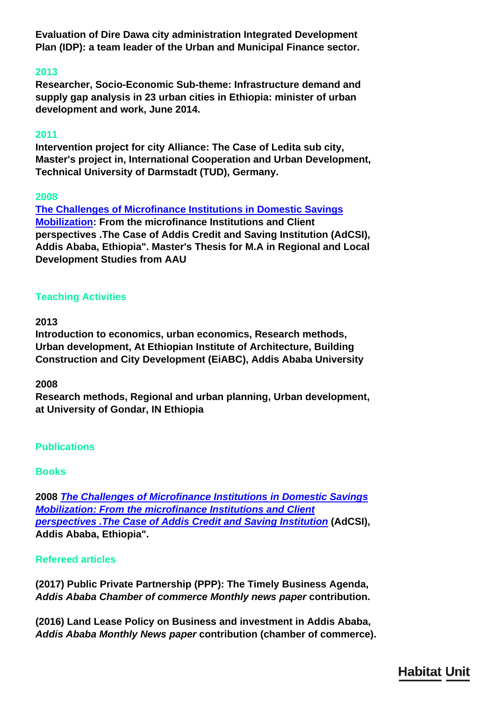**Evaluation of Dire Dawa city administration Integrated Development Plan (IDP): a team leader of the Urban and Municipal Finance sector.**

# **2013**

**Researcher, Socio‐Economic Sub‐theme: Infrastructure demand and supply gap analysis in 23 urban cities in Ethiopia: minister of urban development and work, June 2014.**

# **2011**

**Intervention project for city Alliance: The Case of Ledita sub city, Master's project in, International Cooperation and Urban Development, Technical University of Darmstadt (TUD), Germany.**

# **2008**

**[The Challenges of Microfinance Institutions in Domestic Savings](https://www.amazon.com/CHALLENGES-DOMESTIC-MICRO-SAVINGS-MOBILIZATION/dp/3639306643) [Mobilization:](https://www.amazon.com/CHALLENGES-DOMESTIC-MICRO-SAVINGS-MOBILIZATION/dp/3639306643) From the microfinance Institutions and Client perspectives .The Case of Addis Credit and Saving Institution (AdCSI), Addis Ababa, Ethiopia". Master's Thesis for M.A in Regional and Local Development Studies from AAU**

# **Teaching Activities**

# **2013**

**Introduction to economics, urban economics, Research methods, Urban development, At Ethiopian Institute of Architecture, Building Construction and City Development (EiABC), Addis Ababa University**

# **2008**

**Research methods, Regional and urban planning, Urban development, at University of Gondar, IN Ethiopia**

# **Publications**

# **Books**

**2008** *[The Challenges of Microfinance Institutions in Domestic Savings](https://www.amazon.com/CHALLENGES-DOMESTIC-MICRO-SAVINGS-MOBILIZATION/dp/3639306643) [Mobilization: From the microfinance Institutions and Client](https://www.amazon.com/CHALLENGES-DOMESTIC-MICRO-SAVINGS-MOBILIZATION/dp/3639306643) [perspectives .The Case of Addis Credit and Saving Institution](https://www.amazon.com/CHALLENGES-DOMESTIC-MICRO-SAVINGS-MOBILIZATION/dp/3639306643)* **(AdCSI), Addis Ababa, Ethiopia".**

# **Refereed articles**

**(2017) Public Private Partnership (PPP): The Timely Business Agenda,**  *Addis Ababa Chamber of commerce Monthly news paper* **contribution.**

**(2016) Land Lease Policy on Business and investment in Addis Ababa,**  *Addis Ababa Monthly News paper* **contribution (chamber of commerce).**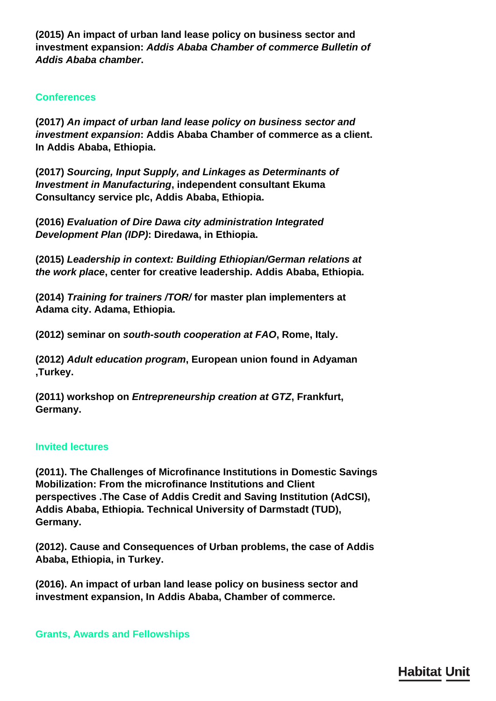**(2015) An impact of urban land lease policy on business sector and investment expansion:** *Addis Ababa Chamber of commerce Bulletin of Addis Ababa chamber***.**

### **Conferences**

**(2017)** *An impact of urban land lease policy on business sector and investment expansion***: Addis Ababa Chamber of commerce as a client. In Addis Ababa, Ethiopia.**

**(2017)** *Sourcing, Input Supply, and Linkages as Determinants of Investment in Manufacturing***, independent consultant Ekuma Consultancy service plc, Addis Ababa, Ethiopia.**

**(2016)** *Evaluation of Dire Dawa city administration Integrated Development Plan (IDP)***: Diredawa, in Ethiopia.**

**(2015)** *Leadership in context: Building Ethiopian/German relations at the work place***, center for creative leadership. Addis Ababa, Ethiopia.**

**(2014)** *Training for trainers /TOR/* **for master plan implementers at Adama city. Adama, Ethiopia.**

**(2012) seminar on** *south-south cooperation at FAO***, Rome, Italy.**

**(2012)** *Adult education program***, European union found in Adyaman ,Turkey.**

**(2011) workshop on** *Entrepreneurship creation at GTZ***, Frankfurt, Germany.**

#### **Invited lectures**

**(2011). The Challenges of Microfinance Institutions in Domestic Savings Mobilization: From the microfinance Institutions and Client perspectives .The Case of Addis Credit and Saving Institution (AdCSI), Addis Ababa, Ethiopia. Technical University of Darmstadt (TUD), Germany.**

**(2012). Cause and Consequences of Urban problems, the case of Addis Ababa, Ethiopia, in Turkey.**

**(2016). An impact of urban land lease policy on business sector and investment expansion, In Addis Ababa, Chamber of commerce.**